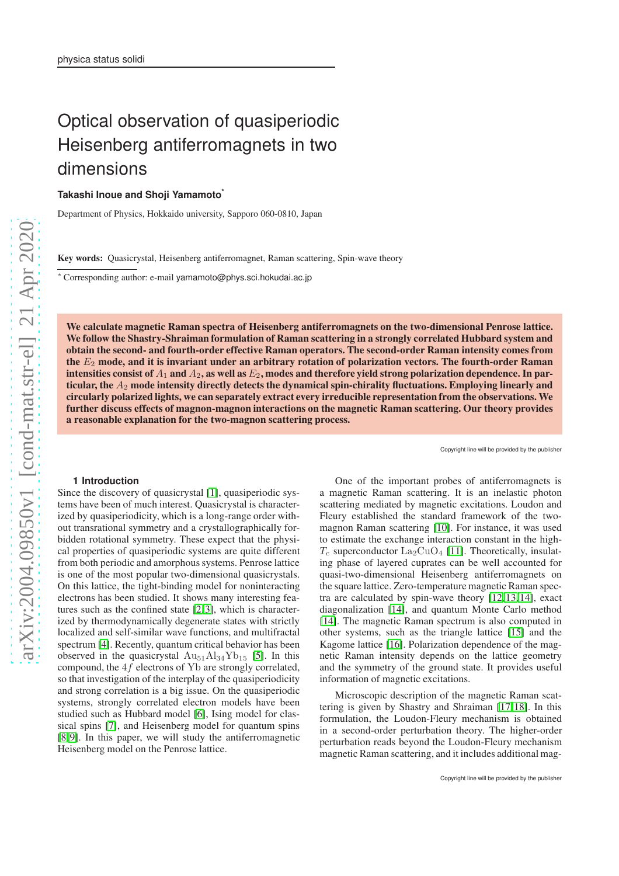# Optical observation of quasiperiodic Heisenberg antiferromagnets in two dimensions

**Takashi Inoue and Shoji Yamamoto\***

Department of Physics, Hokkaido university, Sapporo 060-0810, Japan

Key words: Quasicrystal, Heisenberg antiferromagnet, Raman scattering, Spin-wave theory

<sup>∗</sup> Corresponding author: e-mail yamamoto@phys.sci.hokudai.ac.jp

We calculate magnetic Raman spectra of Heisenberg antiferromagnets on the two-dimensional Penrose lattice. We follow the Shastry-Shraiman formulation of Raman scattering in a strongly correlated Hubbard system and obtain the second- and fourth-order effective Raman operators. The second-order Raman intensity comes from the  $E<sub>2</sub>$  mode, and it is invariant under an arbitrary rotation of polarization vectors. The fourth-order Raman intensities consist of  $A_1$  and  $A_2$ , as well as  $E_2$ , modes and therefore yield strong polarization dependence. In particular, the  $A_2$  mode intensity directly detects the dynamical spin-chirality fluctuations. Employing linearly and circularly polarized lights, we can separately extract every irreducible representation from the observations. We further discuss effects of magnon-magnon interactions on the magnetic Raman scattering. Our theory provides a reasonable explanation for the two-magnon scattering process.

Copyright line will be provided by the publishe

#### **1 Introduction**

Since the discovery of quasicrystal [\[1\]](#page-6-0), quasiperiodic systems have been of much interest. Quasicrystal is characterized by quasiperiodicity, which is a long-range order without transrational symmetry and a crystallographically forbidden rotational symmetry. These expect that the physical properties of quasiperiodic systems are quite different from both periodic and amorphous systems. Penrose lattice is one of the most popular two-dimensional quasicrystals. On this lattice, the tight-binding model for noninteracting electrons has been studied. It shows many interesting features such as the confined state [\[2,](#page-6-1)[3\]](#page-6-2), which is characterized by thermodynamically degenerate states with strictly localized and self-similar wave functions, and multifractal spectrum [\[4\]](#page-6-3). Recently, quantum critical behavior has been observed in the quasicrystal  $\text{Au}_{51}\text{Al}_{34}\text{Yb}_{15}$  [\[5\]](#page-6-4). In this compound, the 4f electrons of Yb are strongly correlated, so that investigation of the interplay of the quasiperiodicity and strong correlation is a big issue. On the quasiperiodic systems, strongly correlated electron models have been studied such as Hubbard model [\[6\]](#page-6-5), Ising model for classical spins [\[7\]](#page-6-6), and Heisenberg model for quantum spins [\[8,](#page-6-7)[9\]](#page-6-8). In this paper, we will study the antiferromagnetic Heisenberg model on the Penrose lattice.

One of the important probes of antiferromagnets is a magnetic Raman scattering. It is an inelastic photon scattering mediated by magnetic excitations. Loudon and Fleury established the standard framework of the twomagnon Raman scattering [\[10\]](#page-6-9). For instance, it was used to estimate the exchange interaction constant in the high- $T_c$  superconductor  $\text{La}_2\text{CuO}_4$  [\[11\]](#page-6-10). Theoretically, insulating phase of layered cuprates can be well accounted for quasi-two-dimensional Heisenberg antiferromagnets on the square lattice. Zero-temperature magnetic Raman spectra are calculated by spin-wave theory [\[12,](#page-6-11)[13,](#page-6-12)[14\]](#page-6-13), exact diagonalization [\[14\]](#page-6-13), and quantum Monte Carlo method [\[14\]](#page-6-13). The magnetic Raman spectrum is also computed in other systems, such as the triangle lattice [\[15\]](#page-6-14) and the Kagome lattice [\[16\]](#page-6-15). Polarization dependence of the magnetic Raman intensity depends on the lattice geometry and the symmetry of the ground state. It provides useful information of magnetic excitations.

Microscopic description of the magnetic Raman scattering is given by Shastry and Shraiman [\[17,](#page-6-16)[18\]](#page-6-17). In this formulation, the Loudon-Fleury mechanism is obtained in a second-order perturbation theory. The higher-order perturbation reads beyond the Loudon-Fleury mechanism magnetic Raman scattering, and it includes additional mag-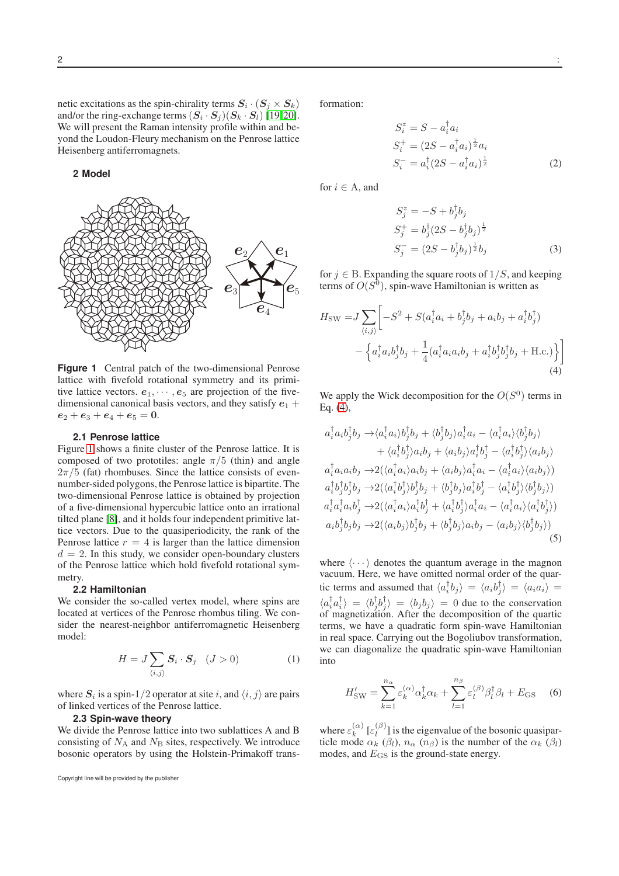netic excitations as the spin-chirality terms  $S_i \cdot (S_j \times S_k)$ and/or the ring-exchange terms  $(S_i \cdot S_j)(S_k \cdot S_l)$  [\[19,](#page-6-18)[20\]](#page-6-19). We will present the Raman intensity profile within and beyond the Loudon-Fleury mechanism on the Penrose lattice Heisenberg antiferromagnets.

#### **2 Model**



<span id="page-1-0"></span>**Figure 1** Central patch of the two-dimensional Penrose lattice with fivefold rotational symmetry and its primitive lattice vectors.  $e_1, \dots, e_5$  are projection of the fivedimensional canonical basis vectors, and they satisfy  $e_1$  +  $e_2 + e_3 + e_4 + e_5 = 0.$ 

#### **2.1 Penrose lattice**

Figure [1](#page-1-0) shows a finite cluster of the Penrose lattice. It is composed of two prototiles: angle  $\pi/5$  (thin) and angle  $2\pi/5$  (fat) rhombuses. Since the lattice consists of evennumber-sided polygons, the Penrose lattice is bipartite. The two-dimensional Penrose lattice is obtained by projection of a five-dimensional hypercubic lattice onto an irrational tilted plane [\[8\]](#page-6-7), and it holds four independent primitive lattice vectors. Due to the quasiperiodicity, the rank of the Penrose lattice  $r = 4$  is larger than the lattice dimension  $d = 2$ . In this study, we consider open-boundary clusters of the Penrose lattice which hold fivefold rotational symmetry.

#### **2.2 Hamiltonian**

We consider the so-called vertex model, where spins are located at vertices of the Penrose rhombus tiling. We consider the nearest-neighbor antiferromagnetic Heisenberg model:

$$
H = J \sum_{\langle i,j \rangle} \mathbf{S}_i \cdot \mathbf{S}_j \quad (J > 0)
$$
 (1)

where  $S_i$  is a spin-1/2 operator at site i, and  $\langle i, j \rangle$  are pairs of linked vertices of the Penrose lattice.

#### **2.3 Spin-wave theory**

We divide the Penrose lattice into two sublattices A and B consisting of  $N_A$  and  $N_B$  sites, respectively. We introduce bosonic operators by using the Holstein-Primakoff trans-

Copyright line will be provided by the publisher

formation:

$$
S_i^z = S - a_i^{\dagger} a_i
$$
  
\n
$$
S_i^+ = (2S - a_i^{\dagger} a_i)^{\frac{1}{2}} a_i
$$
  
\n
$$
S_i^- = a_i^{\dagger} (2S - a_i^{\dagger} a_i)^{\frac{1}{2}}
$$
 (2)

for  $i \in A$ , and

<span id="page-1-1"></span>
$$
S_j^z = -S + b_j^{\dagger} b_j
$$
  
\n
$$
S_j^+ = b_j^{\dagger} (2S - b_j^{\dagger} b_j)^{\frac{1}{2}}
$$
  
\n
$$
S_j^- = (2S - b_j^{\dagger} b_j)^{\frac{1}{2}} b_j
$$
\n(3)

for  $j \in B$ . Expanding the square roots of  $1/S$ , and keeping terms of  $O(S^0)$ , spin-wave Hamiltonian is written as

$$
H_{\rm SW} = J \sum_{\langle i,j \rangle} \left[ -S^2 + S(a_i^{\dagger} a_i + b_j^{\dagger} b_j + a_i b_j + a_i^{\dagger} b_j^{\dagger}) - \left\{ a_i^{\dagger} a_i b_j^{\dagger} b_j + \frac{1}{4} (a_i^{\dagger} a_i a_i b_j + a_i^{\dagger} b_j^{\dagger} b_j^{\dagger} b_j + \text{H.c.}) \right\} \right]
$$
\n(4)

We apply the Wick decomposition for the  $O(S^0)$  terms in Eq. [\(4\)](#page-1-1),

$$
a_i^{\dagger} a_i b_j^{\dagger} b_j \rightarrow \langle a_i^{\dagger} a_i \rangle b_j^{\dagger} b_j + \langle b_j^{\dagger} b_j \rangle a_i^{\dagger} a_i - \langle a_i^{\dagger} a_i \rangle \langle b_j^{\dagger} b_j \rangle + \langle a_i^{\dagger} b_j^{\dagger} \rangle a_i b_j + \langle a_i b_j \rangle a_i^{\dagger} b_j^{\dagger} - \langle a_i^{\dagger} b_j^{\dagger} \rangle \langle a_i b_j \rangle a_i^{\dagger} a_i a_i b_j \rightarrow 2(\langle a_i^{\dagger} a_i \rangle a_i b_j + \langle a_i b_j \rangle a_i^{\dagger} a_i - \langle a_i^{\dagger} a_i \rangle \langle a_i b_j \rangle) a_i^{\dagger} b_j^{\dagger} b_j^{\dagger} b_j \rightarrow 2(\langle a_i^{\dagger} b_j^{\dagger} \rangle b_j^{\dagger} b_j + \langle b_j^{\dagger} b_j \rangle a_i^{\dagger} b_j^{\dagger} - \langle a_i^{\dagger} b_j^{\dagger} \rangle \langle b_j^{\dagger} b_j \rangle) a_i^{\dagger} a_i^{\dagger} a_i b_j^{\dagger} \rightarrow 2(\langle a_i^{\dagger} a_i \rangle a_i^{\dagger} b_j^{\dagger} + \langle a_i^{\dagger} b_j^{\dagger} \rangle a_i^{\dagger} a_i - \langle a_i^{\dagger} a_i \rangle \langle a_i^{\dagger} b_j^{\dagger} \rangle) a_i b_j^{\dagger} b_j b_j \rightarrow 2(\langle a_i b_j \rangle b_j^{\dagger} b_j + \langle b_j^{\dagger} b_j \rangle a_i b_j - \langle a_i b_j \rangle \langle b_j^{\dagger} b_j \rangle)
$$
\n(5)

where  $\langle \cdots \rangle$  denotes the quantum average in the magnon vacuum. Here, we have omitted normal order of the quartic terms and assumed that  $\langle a_i^{\dagger} b_j \rangle = \langle a_i b_j^{\dagger} \rangle = \langle a_i a_i \rangle =$  $\langle a_i^{\dagger} a_i^{\dagger} \rangle = \langle b_j^{\dagger} b_j^{\dagger} \rangle = \langle b_j b_j \rangle = 0$  due to the conservation of magnetization. After the decomposition of the quartic terms, we have a quadratic form spin-wave Hamiltonian in real space. Carrying out the Bogoliubov transformation, we can diagonalize the quadratic spin-wave Hamiltonian into

$$
H'_{\rm SW} = \sum_{k=1}^{n_{\alpha}} \varepsilon_k^{(\alpha)} \alpha_k^{\dagger} \alpha_k + \sum_{l=1}^{n_{\beta}} \varepsilon_l^{(\beta)} \beta_l^{\dagger} \beta_l + E_{\rm GS} \quad (6)
$$

where  $\varepsilon_k^{(\alpha)}$  [ $\varepsilon_l^{(\beta)}$ ] is the eigenvalue of the bosonic quasiparticle mode  $\alpha_k$  ( $\beta_l$ ),  $n_\alpha$  ( $n_\beta$ ) is the number of the  $\alpha_k$  ( $\beta_l$ ) modes, and  $E_{\text{GS}}$  is the ground-state energy.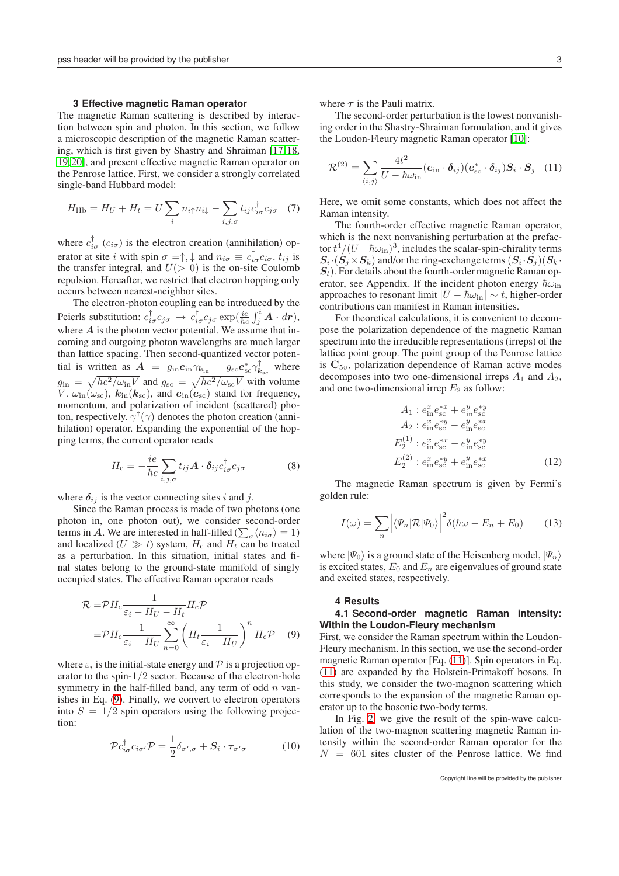#### **3 Effective magnetic Raman operator**

The magnetic Raman scattering is described by interaction between spin and photon. In this section, we follow a microscopic description of the magnetic Raman scattering, which is first given by Shastry and Shraiman [\[17,](#page-6-16)[18,](#page-6-17) [19,](#page-6-18)[20\]](#page-6-19), and present effective magnetic Raman operator on the Penrose lattice. First, we consider a strongly correlated single-band Hubbard model:

$$
H_{\rm Hb} = H_U + H_t = U \sum_i n_{i\uparrow} n_{i\downarrow} - \sum_{i,j,\sigma} t_{ij} c_{i\sigma}^{\dagger} c_{j\sigma} \quad (7)
$$

where  $c_{i\sigma}^{\dagger}$  ( $c_{i\sigma}$ ) is the electron creation (annihilation) operator at site *i* with spin  $\sigma = \uparrow, \downarrow$  and  $n_{i\sigma} \equiv c_{i\sigma}^{\dagger} c_{i\sigma}$ .  $t_{ij}$  is the transfer integral, and  $U(> 0)$  is the on-site Coulomb repulsion. Hereafter, we restrict that electron hopping only occurs between nearest-neighbor sites.

The electron-photon coupling can be introduced by the Peierls substitution:  $c_{i\sigma}^{\dagger} c_{j\sigma} \rightarrow c_{i\sigma}^{\dagger} c_{j\sigma} \exp(\frac{ie}{\hbar c} \int_j^i \mathbf{A} \cdot d\mathbf{r}),$ where  $A$  is the photon vector potential. We assume that incoming and outgoing photon wavelengths are much larger than lattice spacing. Then second-quantized vector potential is written as  $\mathbf{A} = g_{\text{in}} \mathbf{e}_{\text{in}} \gamma_{\mathbf{k}_{\text{in}}} + g_{\text{sc}} \mathbf{e}_{\text{sc}}^* \gamma_{\mathbf{k}_{\text{sc}}}^{\dagger}$  where  $g_{\rm in} = \sqrt{hc^2/\omega_{\rm in}V}$  and  $g_{\rm sc} = \sqrt{hc^2/\omega_{\rm sc}V}$  with volume V.  $\omega_{\rm in}(\omega_{\rm sc})$ ,  $k_{\rm in}(k_{\rm sc})$ , and  $e_{\rm in}(e_{\rm sc})$  stand for frequency, momentum, and polarization of incident (scattered) photon, respectively.  $\gamma^{\dagger}(\gamma)$  denotes the photon creation (annihilation) operator. Expanding the exponential of the hopping terms, the current operator reads

$$
H_{\rm c} = -\frac{ie}{\hbar c} \sum_{i,j,\sigma} t_{ij} \mathbf{A} \cdot \boldsymbol{\delta}_{ij} c_{i\sigma}^{\dagger} c_{j\sigma}
$$
(8)

where  $\delta_{ij}$  is the vector connecting sites i and j.

Since the Raman process is made of two photons (one photon in, one photon out), we consider second-order terms in A. We are interested in half-filled ( $\sum_{\sigma} \langle n_{i\sigma} \rangle = 1$ ) and localized ( $U \gg t$ ) system,  $H_c$  and  $H_t$  can be treated as a perturbation. In this situation, initial states and final states belong to the ground-state manifold of singly occupied states. The effective Raman operator reads

$$
\mathcal{R} = \mathcal{P} H_c \frac{1}{\varepsilon_i - H_U - H_t} H_c \mathcal{P}
$$

$$
= \mathcal{P} H_c \frac{1}{\varepsilon_i - H_U} \sum_{n=0}^{\infty} \left( H_t \frac{1}{\varepsilon_i - H_U} \right)^n H_c \mathcal{P} \quad (9)
$$

where  $\varepsilon_i$  is the initial-state energy and  $\mathcal P$  is a projection operator to the spin-1/2 sector. Because of the electron-hole symmetry in the half-filled band, any term of odd  $n$  vanishes in Eq. [\(9\)](#page-2-0). Finally, we convert to electron operators into  $S = 1/2$  spin operators using the following projection:

$$
\mathcal{P}c_{i\sigma}^{\dagger}c_{i\sigma'}\mathcal{P} = \frac{1}{2}\delta_{\sigma',\sigma} + \mathbf{S}_{i}\cdot\boldsymbol{\tau}_{\sigma'\sigma} \tag{10}
$$

where  $\tau$  is the Pauli matrix.

The second-order perturbation is the lowest nonvanishing order in the Shastry-Shraiman formulation, and it gives the Loudon-Fleury magnetic Raman operator [\[10\]](#page-6-9):

<span id="page-2-1"></span>
$$
\mathcal{R}^{(2)} = \sum_{\langle i,j \rangle} \frac{4t^2}{U - \hbar \omega_{\text{in}}} (\mathbf{e}_{\text{in}} \cdot \boldsymbol{\delta}_{ij}) (\mathbf{e}_{\text{sc}}^* \cdot \boldsymbol{\delta}_{ij}) \mathbf{S}_i \cdot \mathbf{S}_j \quad (11)
$$

Here, we omit some constants, which does not affect the Raman intensity.

The fourth-order effective magnetic Raman operator, which is the next nonvanishing perturbation at the prefactor  $t^4/(U-\hbar\omega_{\rm in})^3,$  includes the scalar-spin-chirality terms  $S_i \cdot (S_j \times S_k)$  and/or the ring-exchange terms  $(S_i \cdot S_j)(S_k \cdot S_k)$  $S<sub>l</sub>$ ). For details about the fourth-order magnetic Raman operator, see Appendix. If the incident photon energy  $\hbar\omega_{\text{in}}$ approaches to resonant limit  $|U - \hbar \omega_{\text{in}}| \sim t$ , higher-order contributions can manifest in Raman intensities.

For theoretical calculations, it is convenient to decompose the polarization dependence of the magnetic Raman spectrum into the irreducible representations (irreps) of the lattice point group. The point group of the Penrose lattice is  $C_{5v}$ , polarization dependence of Raman active modes decomposes into two one-dimensional irreps  $A_1$  and  $A_2$ , and one two-dimensional irrep  $E_2$  as follow:

$$
A_1: e_{\text{in}}^x e_{\text{sc}}^{*x} + e_{\text{in}}^y e_{\text{sc}}^{*y}
$$
  
\n
$$
A_2: e_{\text{in}}^x e_{\text{sc}}^{*y} - e_{\text{in}}^y e_{\text{sc}}^{*x}
$$
  
\n
$$
E_2^{(1)}: e_{\text{in}}^x e_{\text{sc}}^{*x} - e_{\text{in}}^y e_{\text{sc}}^{*y}
$$
  
\n
$$
E_2^{(2)}: e_{\text{in}}^x e_{\text{sc}}^{*y} + e_{\text{in}}^y e_{\text{sc}}^{*x}
$$
 (12)

The magnetic Raman spectrum is given by Fermi's golden rule:

$$
I(\omega) = \sum_{n} \left| \langle \Psi_n | \mathcal{R} | \Psi_0 \rangle \right|^2 \delta(\hbar \omega - E_n + E_0) \tag{13}
$$

where  $|\Psi_0\rangle$  is a ground state of the Heisenberg model,  $|\Psi_n\rangle$ is excited states,  $E_0$  and  $E_n$  are eigenvalues of ground state and excited states, respectively.

#### **4 Results**

## **4.1 Second-order magnetic Raman intensity: Within the Loudon-Fleury mechanism**

<span id="page-2-0"></span>First, we consider the Raman spectrum within the Loudon-Fleury mechanism. In this section, we use the second-order magnetic Raman operator [Eq. [\(11\)](#page-2-1)]. Spin operators in Eq. [\(11\)](#page-2-1) are expanded by the Holstein-Primakoff bosons. In this study, we consider the two-magnon scattering which corresponds to the expansion of the magnetic Raman operator up to the bosonic two-body terms.

In Fig. [2,](#page-3-0) we give the result of the spin-wave calculation of the two-magnon scattering magnetic Raman intensity within the second-order Raman operator for the  $N = 601$  sites cluster of the Penrose lattice. We find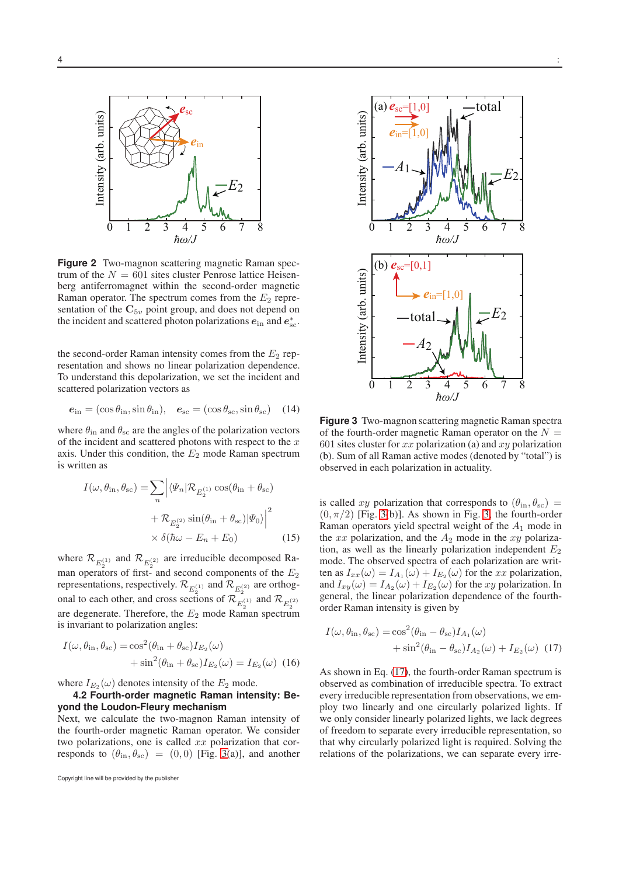

<span id="page-3-0"></span>**Figure 2** Two-magnon scattering magnetic Raman spectrum of the  $N = 601$  sites cluster Penrose lattice Heisenberg antiferromagnet within the second-order magnetic Raman operator. The spectrum comes from the  $E_2$  representation of the  $C_{5v}$  point group, and does not depend on the incident and scattered photon polarizations  $e_{\text{in}}$  and  $e_{\text{sc}}^*$ .

the second-order Raman intensity comes from the  $E_2$  representation and shows no linear polarization dependence. To understand this depolarization, we set the incident and scattered polarization vectors as

$$
\mathbf{e}_{\rm in} = (\cos \theta_{\rm in}, \sin \theta_{\rm in}), \quad \mathbf{e}_{\rm sc} = (\cos \theta_{\rm sc}, \sin \theta_{\rm sc}) \quad (14)
$$

where  $\theta_{\rm in}$  and  $\theta_{\rm sc}$  are the angles of the polarization vectors of the incident and scattered photons with respect to the  $x$ axis. Under this condition, the  $E_2$  mode Raman spectrum is written as

$$
I(\omega, \theta_{\rm in}, \theta_{\rm sc}) = \sum_{n} \left| \langle \Psi_n | \mathcal{R}_{E_2^{(1)}} \cos(\theta_{\rm in} + \theta_{\rm sc}) \right|
$$

$$
+ \mathcal{R}_{E_2^{(2)}} \sin(\theta_{\rm in} + \theta_{\rm sc}) |\Psi_0\rangle \Big|^2
$$

$$
\times \delta(\hbar\omega - E_n + E_0) \tag{15}
$$

where  $\mathcal{R}_{E_2^{(1)}}$  and  $\mathcal{R}_{E_2^{(2)}}$  are irreducible decomposed Raman operators of first- and second components of the  $E_2$ representations, respectively.  $\mathcal{R}_{E_2^{(1)}}$  and  $\mathcal{R}_{E_2^{(2)}}$  are orthogonal to each other, and cross sections of  $\mathcal{R}_{E_2^{(1)}}^{E_2}$  and  $\mathcal{R}_{E_2^{(2)}}$ are degenerate. Therefore, the  $E_2$  mode Raman spectrum is invariant to polarization angles:

$$
I(\omega, \theta_{\rm in}, \theta_{\rm sc}) = \cos^2(\theta_{\rm in} + \theta_{\rm sc}) I_{E_2}(\omega)
$$

$$
+ \sin^2(\theta_{\rm in} + \theta_{\rm sc}) I_{E_2}(\omega) = I_{E_2}(\omega) \tag{16}
$$

where  $I_{E_2}(\omega)$  denotes intensity of the  $E_2$  mode.

# **4.2 Fourth-order magnetic Raman intensity: Beyond the Loudon-Fleury mechanism**

Next, we calculate the two-magnon Raman intensity of the fourth-order magnetic Raman operator. We consider two polarizations, one is called  $xx$  polarization that corresponds to  $(\theta_{\rm in}, \theta_{\rm sc}) = (0, 0)$  [Fig. [3\(](#page-3-1)a)], and another

Copyright line will be provided by the publisher



<span id="page-3-1"></span>**Figure 3** Two-magnon scattering magnetic Raman spectra of the fourth-order magnetic Raman operator on the  $N =$ 601 sites cluster for  $xx$  polarization (a) and  $xy$  polarization (b). Sum of all Raman active modes (denoted by "total") is observed in each polarization in actuality.

is called xy polarization that corresponds to  $(\theta_{\rm in}, \theta_{\rm sc})$  =  $(0, \pi/2)$  [Fig. [3\(](#page-3-1)b)]. As shown in Fig. [3,](#page-3-1) the fourth-order Raman operators yield spectral weight of the  $A_1$  mode in the  $xx$  polarization, and the  $A_2$  mode in the  $xy$  polarization, as well as the linearly polarization independent  $E_2$ mode. The observed spectra of each polarization are written as  $I_{xx}(\omega) = I_{A_1}(\omega) + I_{E_2}(\omega)$  for the xx polarization, and  $I_{xy}(\omega) = I_{A_2}(\omega) + I_{E_2}(\omega)$  for the xy polarization. In general, the linear polarization dependence of the fourthorder Raman intensity is given by

<span id="page-3-2"></span>
$$
I(\omega, \theta_{\rm in}, \theta_{\rm sc}) = \cos^2(\theta_{\rm in} - \theta_{\rm sc}) I_{A_1}(\omega)
$$

$$
+ \sin^2(\theta_{\rm in} - \theta_{\rm sc}) I_{A_2}(\omega) + I_{E_2}(\omega) \tag{17}
$$

As shown in Eq. [\(17\)](#page-3-2), the fourth-order Raman spectrum is observed as combination of irreducible spectra. To extract every irreducible representation from observations, we employ two linearly and one circularly polarized lights. If we only consider linearly polarized lights, we lack degrees of freedom to separate every irreducible representation, so that why circularly polarized light is required. Solving the relations of the polarizations, we can separate every irre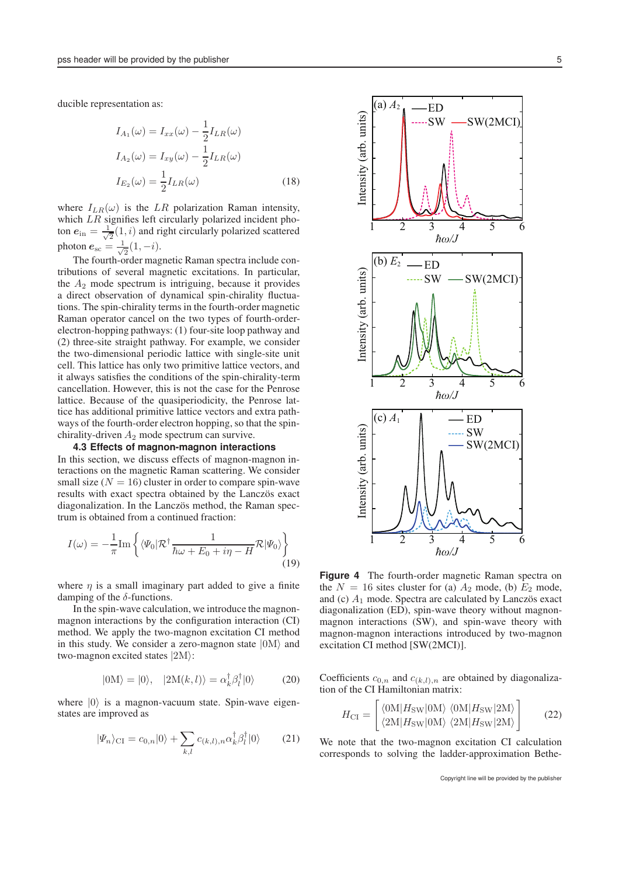ducible representation as:

$$
I_{A_1}(\omega) = I_{xx}(\omega) - \frac{1}{2}I_{LR}(\omega)
$$
  
\n
$$
I_{A_2}(\omega) = I_{xy}(\omega) - \frac{1}{2}I_{LR}(\omega)
$$
  
\n
$$
I_{E_2}(\omega) = \frac{1}{2}I_{LR}(\omega)
$$
\n(18)

where  $I_{LR}(\omega)$  is the LR polarization Raman intensity, which LR signifies left circularly polarized incident photon  $e_{\text{in}} = \frac{1}{\sqrt{2}}$  $\frac{1}{2}(1,i)$  and right circularly polarized scattered photon  $e_{\rm sc} = \frac{1}{\sqrt{2}}$  $\frac{1}{2}(1,-i).$ 

The fourth-order magnetic Raman spectra include contributions of several magnetic excitations. In particular, the  $A_2$  mode spectrum is intriguing, because it provides a direct observation of dynamical spin-chirality fluctuations. The spin-chirality terms in the fourth-order magnetic Raman operator cancel on the two types of fourth-orderelectron-hopping pathways: (1) four-site loop pathway and (2) three-site straight pathway. For example, we consider the two-dimensional periodic lattice with single-site unit cell. This lattice has only two primitive lattice vectors, and it always satisfies the conditions of the spin-chirality-term cancellation. However, this is not the case for the Penrose lattice. Because of the quasiperiodicity, the Penrose lattice has additional primitive lattice vectors and extra pathways of the fourth-order electron hopping, so that the spinchirality-driven  $A_2$  mode spectrum can survive.

# **4.3 Effects of magnon-magnon interactions** In this section, we discuss effects of magnon-magnon interactions on the magnetic Raman scattering. We consider small size  $(N = 16)$  cluster in order to compare spin-wave results with exact spectra obtained by the Lanczös exact diagonalization. In the Lanczös method, the Raman spectrum is obtained from a continued fraction:

$$
I(\omega) = -\frac{1}{\pi} \text{Im} \left\{ \langle \Psi_0 | \mathcal{R}^\dagger \frac{1}{\hbar \omega + E_0 + i\eta - H} \mathcal{R} | \Psi_0 \rangle \right\}
$$
(19)

where  $\eta$  is a small imaginary part added to give a finite damping of the  $\delta$ -functions.

In the spin-wave calculation, we introduce the magnonmagnon interactions by the configuration interaction (CI) method. We apply the two-magnon excitation CI method in this study. We consider a zero-magnon state  $|0M\rangle$  and two-magnon excited states  $|2M\rangle$ :

$$
|0M\rangle = |0\rangle, \quad |2M(k,l)\rangle = \alpha_k^{\dagger} \beta_l^{\dagger} |0\rangle \tag{20}
$$

where  $|0\rangle$  is a magnon-vacuum state. Spin-wave eigenstates are improved as

$$
|\Psi_n\rangle_{\text{CI}} = c_{0,n}|0\rangle + \sum_{k,l} c_{(k,l),n} \alpha_k^{\dagger} \beta_l^{\dagger} |0\rangle \qquad (21)
$$



<span id="page-4-0"></span>**Figure 4** The fourth-order magnetic Raman spectra on the  $N = 16$  sites cluster for (a)  $A_2$  mode, (b)  $E_2$  mode, and (c)  $A_1$  mode. Spectra are calculated by Lanczös exact diagonalization (ED), spin-wave theory without magnonmagnon interactions (SW), and spin-wave theory with magnon-magnon interactions introduced by two-magnon excitation CI method [SW(2MCI)].

Coefficients  $c_{0,n}$  and  $c_{(k,l),n}$  are obtained by diagonalization of the CI Hamiltonian matrix:

$$
H_{\rm CI} = \begin{bmatrix} \langle 0M|H_{\rm SW}|0M\rangle & \langle 0M|H_{\rm SW}|2M\rangle\\ \langle 2M|H_{\rm SW}|0M\rangle & \langle 2M|H_{\rm SW}|2M\rangle \end{bmatrix}
$$
 (22)

We note that the two-magnon excitation CI calculation corresponds to solving the ladder-approximation Bethe-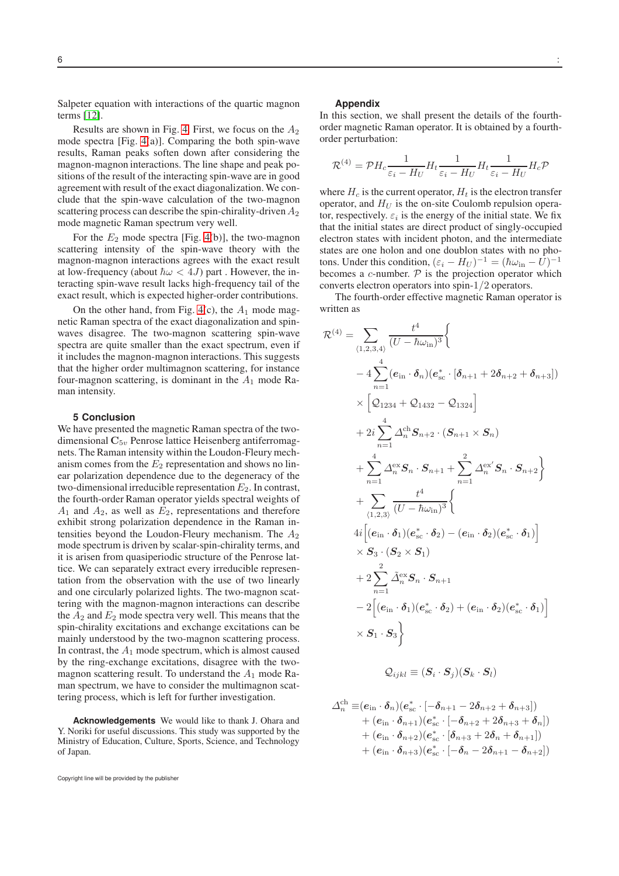Salpeter equation with interactions of the quartic magnon terms [\[12\]](#page-6-11).

Results are shown in Fig. [4.](#page-4-0) First, we focus on the  $A_2$ mode spectra [Fig. [4\(](#page-4-0)a)]. Comparing the both spin-wave results, Raman peaks soften down after considering the magnon-magnon interactions. The line shape and peak positions of the result of the interacting spin-wave are in good agreement with result of the exact diagonalization. We conclude that the spin-wave calculation of the two-magnon scattering process can describe the spin-chirality-driven  $A_2$ mode magnetic Raman spectrum very well.

For the  $E_2$  mode spectra [Fig. [4\(](#page-4-0)b)], the two-magnon scattering intensity of the spin-wave theory with the magnon-magnon interactions agrees with the exact result at low-frequency (about  $\hbar \omega < 4J$ ) part. However, the interacting spin-wave result lacks high-frequency tail of the exact result, which is expected higher-order contributions.

On the other hand, from Fig. [4\(](#page-4-0)c), the  $A_1$  mode magnetic Raman spectra of the exact diagonalization and spinwaves disagree. The two-magnon scattering spin-wave spectra are quite smaller than the exact spectrum, even if it includes the magnon-magnon interactions. This suggests that the higher order multimagnon scattering, for instance four-magnon scattering, is dominant in the  $A_1$  mode Raman intensity.

### **5 Conclusion**

We have presented the magnetic Raman spectra of the twodimensional  $\mathbf{C}_{5v}$  Penrose lattice Heisenberg antiferromagnets. The Raman intensity within the Loudon-Fleury mechanism comes from the  $E_2$  representation and shows no linear polarization dependence due to the degeneracy of the two-dimensional irreducible representation  $E_2$ . In contrast, the fourth-order Raman operator yields spectral weights of  $A_1$  and  $A_2$ , as well as  $E_2$ , representations and therefore exhibit strong polarization dependence in the Raman intensities beyond the Loudon-Fleury mechanism. The  $A_2$ mode spectrum is driven by scalar-spin-chirality terms, and it is arisen from quasiperiodic structure of the Penrose lattice. We can separately extract every irreducible representation from the observation with the use of two linearly and one circularly polarized lights. The two-magnon scattering with the magnon-magnon interactions can describe the  $A_2$  and  $E_2$  mode spectra very well. This means that the spin-chirality excitations and exchange excitations can be mainly understood by the two-magnon scattering process. In contrast, the  $A_1$  mode spectrum, which is almost caused by the ring-exchange excitations, disagree with the twomagnon scattering result. To understand the  $A_1$  mode Raman spectrum, we have to consider the multimagnon scattering process, which is left for further investigation.

**Acknowledgements** We would like to thank J. Ohara and Y. Noriki for useful discussions. This study was supported by the Ministry of Education, Culture, Sports, Science, and Technology of Japan.

#### **Appendix**

In this section, we shall present the details of the fourthorder magnetic Raman operator. It is obtained by a fourthorder perturbation:

$$
\mathcal{R}^{(4)} = \mathcal{P}H_c \frac{1}{\varepsilon_i - H_U} H_t \frac{1}{\varepsilon_i - H_U} H_t \frac{1}{\varepsilon_i - H_U} H_c \mathcal{P}
$$

where  $H_c$  is the current operator,  $H_t$  is the electron transfer operator, and  $H_U$  is the on-site Coulomb repulsion operator, respectively.  $\varepsilon_i$  is the energy of the initial state. We fix that the initial states are direct product of singly-occupied electron states with incident photon, and the intermediate states are one holon and one doublon states with no photons. Under this condition,  $(\varepsilon_i - H_U)^{-1} = (\hbar \omega_{\text{in}} - \bar{U})^{-1}$ becomes a  $c$ -number.  $P$  is the projection operator which converts electron operators into spin-1/2 operators.

The fourth-order effective magnetic Raman operator is written as

$$
\mathcal{R}^{(4)} = \sum_{(1,2,3,4)} \frac{t^4}{(U - \hbar \omega_{\rm in})^3} \left\{ \n- 4 \sum_{n=1}^4 (e_{\rm in} \cdot \delta_n)(e_{\rm sc}^* \cdot [\delta_{n+1} + 2\delta_{n+2} + \delta_{n+3}]) \times \left[ \mathcal{Q}_{1234} + \mathcal{Q}_{1432} - \mathcal{Q}_{1324} \right] \n+ 2i \sum_{n=1}^4 \Delta_n^{\rm ch} S_{n+2} \cdot (S_{n+1} \times S_n) \n+ \sum_{n=1}^4 \Delta_n^{\rm ex} S_n \cdot S_{n+1} + \sum_{n=1}^2 \Delta_n^{\rm ex'} S_n \cdot S_{n+2} \right\} \n+ \sum_{(1,2,3)} \frac{t^4}{(U - \hbar \omega_{\rm in})^3} \left\{ \n4i \left[ (e_{\rm in} \cdot \delta_1)(e_{\rm sc}^* \cdot \delta_2) - (e_{\rm in} \cdot \delta_2)(e_{\rm sc}^* \cdot \delta_1) \right] \times S_3 \cdot (S_2 \times S_1) \n+ 2 \sum_{n=1}^2 \tilde{\Delta}_n^{\rm ex} S_n \cdot S_{n+1} \n- 2 \left[ (e_{\rm in} \cdot \delta_1)(e_{\rm sc}^* \cdot \delta_2) + (e_{\rm in} \cdot \delta_2)(e_{\rm sc}^* \cdot \delta_1) \right] \times S_1 \cdot S_3 \right\}
$$

$$
\mathcal{Q}_{ijkl} \equiv (\bm{S}_i \cdot \bm{S}_j)(\bm{S}_k \cdot \bm{S}_l)
$$

$$
\begin{aligned} \varDelta^{\mathrm{ch}}_n \equiv & \bigl( \boldsymbol{e}_{\mathrm{in}} \cdot \boldsymbol{\delta}_n \bigr) \bigl( \boldsymbol{e}_{\mathrm{sc}}^\ast \cdot \bigl[ -\boldsymbol{\delta}_{n+1} - 2 \boldsymbol{\delta}_{n+2} + \boldsymbol{\delta}_{n+3} \bigr] \bigr) \\ & + \bigl( \boldsymbol{e}_{\mathrm{in}} \cdot \boldsymbol{\delta}_{n+1} \bigr) \bigl( \boldsymbol{e}_{\mathrm{sc}}^\ast \cdot \bigl[ -\boldsymbol{\delta}_{n+2} + 2 \boldsymbol{\delta}_{n+3} + \boldsymbol{\delta}_{n} \bigr] \bigr) \\ & + \bigl( \boldsymbol{e}_{\mathrm{in}} \cdot \boldsymbol{\delta}_{n+2} \bigr) \bigl( \boldsymbol{e}_{\mathrm{sc}}^\ast \cdot \bigl[ \boldsymbol{\delta}_{n+3} + 2 \boldsymbol{\delta}_{n} + \boldsymbol{\delta}_{n+1} \bigr] \bigr) \\ & + \bigl( \boldsymbol{e}_{\mathrm{in}} \cdot \boldsymbol{\delta}_{n+3} \bigr) \bigl( \boldsymbol{e}_{\mathrm{sc}}^\ast \cdot \bigl[ -\boldsymbol{\delta}_{n} - 2 \boldsymbol{\delta}_{n+1} - \boldsymbol{\delta}_{n+2} \bigr] \bigr) \end{aligned}
$$

Copyright line will be provided by the publisher